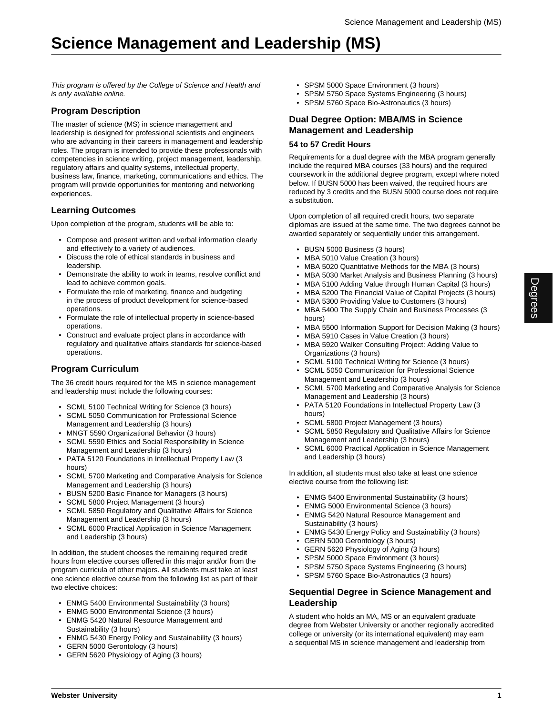# **Science Management and Leadership (MS)**

This program is offered by the College of Science and Health and is only available online.

## **Program Description**

The master of science (MS) in science management and leadership is designed for professional scientists and engineers who are advancing in their careers in management and leadership roles. The program is intended to provide these professionals with competencies in science writing, project management, leadership, regulatory affairs and quality systems, intellectual property, business law, finance, marketing, communications and ethics. The program will provide opportunities for mentoring and networking experiences.

## **Learning Outcomes**

Upon completion of the program, students will be able to:

- Compose and present written and verbal information clearly and effectively to a variety of audiences.
- Discuss the role of ethical standards in business and leadership.
- Demonstrate the ability to work in teams, resolve conflict and lead to achieve common goals.
- Formulate the role of marketing, finance and budgeting in the process of product development for science-based operations.
- Formulate the role of intellectual property in science-based operations.
- Construct and evaluate project plans in accordance with regulatory and qualitative affairs standards for science-based operations.

## **Program Curriculum**

The 36 credit hours required for the MS in science management and leadership must include the following courses:

- SCML 5100 Technical Writing for Science (3 hours)
- SCML 5050 Communication for Professional Science Management and Leadership (3 hours)
- MNGT 5590 Organizational Behavior (3 hours)
- SCML 5590 Ethics and Social Responsibility in Science Management and Leadership (3 hours)
- PATA 5120 Foundations in Intellectual Property Law (3 hours)
- SCML 5700 Marketing and Comparative Analysis for Science Management and Leadership (3 hours)
- BUSN 5200 Basic Finance for Managers (3 hours)
- SCML 5800 Project Management (3 hours)
- SCML 5850 Regulatory and Qualitative Affairs for Science Management and Leadership (3 hours)
- SCML 6000 Practical Application in Science Management and Leadership (3 hours)

In addition, the student chooses the remaining required credit hours from elective courses offered in this major and/or from the program curricula of other majors. All students must take at least one science elective course from the following list as part of their two elective choices:

- ENMG 5400 Environmental Sustainability (3 hours)
- ENMG 5000 Environmental Science (3 hours)
- ENMG 5420 Natural Resource Management and Sustainability (3 hours)
- ENMG 5430 Energy Policy and Sustainability (3 hours)
- GERN 5000 Gerontology (3 hours)
- GERN 5620 Physiology of Aging (3 hours)
- SPSM 5000 Space Environment (3 hours)
- SPSM 5750 Space Systems Engineering (3 hours)
- SPSM 5760 Space Bio-Astronautics (3 hours)

### **Dual Degree Option: MBA/MS in Science Management and Leadership**

#### **54 to 57 Credit Hours**

Requirements for a dual degree with the MBA program generally include the required MBA courses (33 hours) and the required coursework in the additional degree program, except where noted below. If BUSN 5000 has been waived, the required hours are reduced by 3 credits and the BUSN 5000 course does not require a substitution.

Upon completion of all required credit hours, two separate diplomas are issued at the same time. The two degrees cannot be awarded separately or sequentially under this arrangement.

- BUSN 5000 Business (3 hours)
- MBA 5010 Value Creation (3 hours)
- MBA 5020 Quantitative Methods for the MBA (3 hours)
- MBA 5030 Market Analysis and Business Planning (3 hours)
- MBA 5100 Adding Value through Human Capital (3 hours)
- MBA 5200 The Financial Value of Capital Projects (3 hours)
- MBA 5300 Providing Value to Customers (3 hours)
- MBA 5400 The Supply Chain and Business Processes (3 hours)
- MBA 5500 Information Support for Decision Making (3 hours)
- MBA 5910 Cases in Value Creation (3 hours)
- MBA 5920 Walker Consulting Project: Adding Value to Organizations (3 hours)
- SCML 5100 Technical Writing for Science (3 hours)
- SCML 5050 Communication for Professional Science Management and Leadership (3 hours)
- SCML 5700 Marketing and Comparative Analysis for Science Management and Leadership (3 hours)
- PATA 5120 Foundations in Intellectual Property Law (3 hours)
- SCML 5800 Project Management (3 hours)
- SCML 5850 Regulatory and Qualitative Affairs for Science Management and Leadership (3 hours)
- SCML 6000 Practical Application in Science Management and Leadership (3 hours)

In addition, all students must also take at least one science elective course from the following list:

- ENMG 5400 Environmental Sustainability (3 hours)
- ENMG 5000 Environmental Science (3 hours)
- ENMG 5420 Natural Resource Management and Sustainability (3 hours)
- ENMG 5430 Energy Policy and Sustainability (3 hours)
- GERN 5000 Gerontology (3 hours)
- GERN 5620 Physiology of Aging (3 hours)
- SPSM 5000 Space Environment (3 hours)
- SPSM 5750 Space Systems Engineering (3 hours)
- SPSM 5760 Space Bio-Astronautics (3 hours)

#### **Sequential Degree in Science Management and Leadership**

A student who holds an MA, MS or an equivalent graduate degree from Webster University or another regionally accredited college or university (or its international equivalent) may earn a sequential MS in science management and leadership from